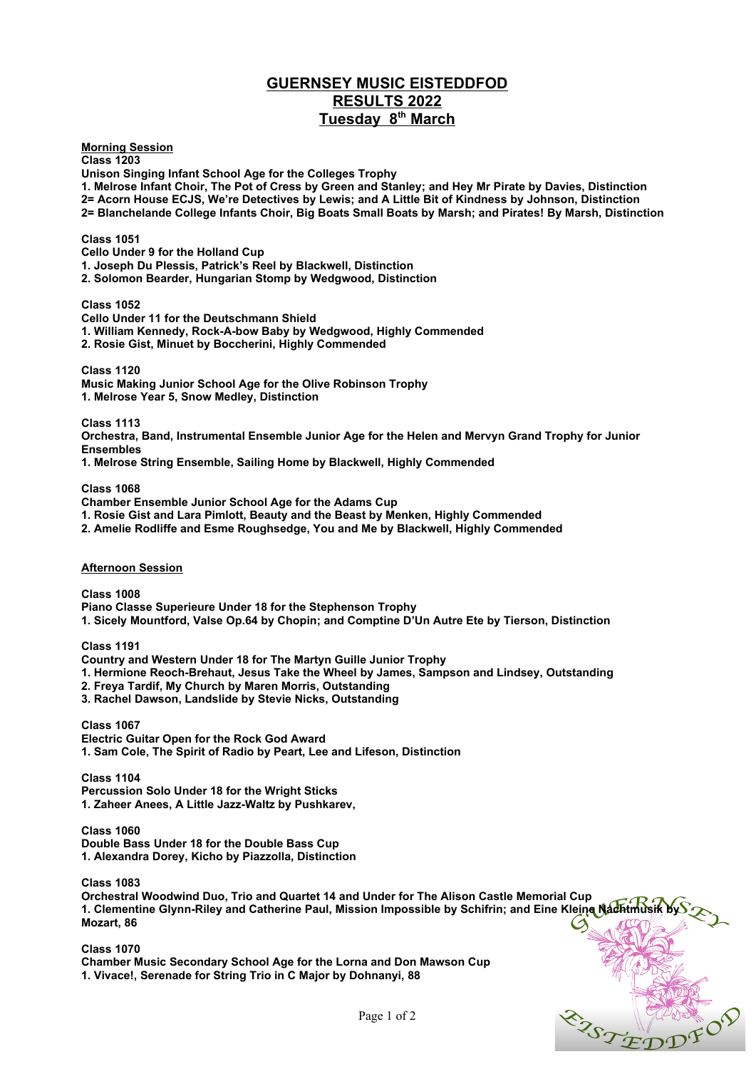# **GUERNSEY MUSIC EISTEDDFOD RESULTS 2022 Tuesday 8th March**

**Morning Session**

**Class 1203 Unison Singing Infant School Age for the Colleges Trophy**

**1. Melrose Infant Choir, The Pot of Cress by Green and Stanley; and Hey Mr Pirate by Davies, Distinction 2= Acorn House ECJS, We're Detectives by Lewis; and A Little Bit of Kindness by Johnson, Distinction 2= Blanchelande College Infants Choir, Big Boats Small Boats by Marsh; and Pirates! By Marsh, Distinction**

### **Class 1051**

**Cello Under 9 for the Holland Cup**

**1. Joseph Du Plessis, Patrick's Reel by Blackwell, Distinction** 

**2. Solomon Bearder, Hungarian Stomp by Wedgwood, Distinction** 

#### **Class 1052**

#### **Cello Under 11 for the Deutschmann Shield**

**1. William Kennedy, Rock-A-bow Baby by Wedgwood, Highly Commended**

**2. Rosie Gist, Minuet by Boccherini, Highly Commended**

**Class 1120**

**Music Making Junior School Age for the Olive Robinson Trophy 1. Melrose Year 5, Snow Medley, Distinction**

**Class 1113**

**Orchestra, Band, Instrumental Ensemble Junior Age for the Helen and Mervyn Grand Trophy for Junior Ensembles**

**1. Melrose String Ensemble, Sailing Home by Blackwell, Highly Commended**

**Class 1068**

**Chamber Ensemble Junior School Age for the Adams Cup**

**1. Rosie Gist and Lara Pimlott, Beauty and the Beast by Menken, Highly Commended**

**2. Amelie Rodliffe and Esme Roughsedge, You and Me by Blackwell, Highly Commended**

## **Afternoon Session**

**Class 1008 Piano Classe Superieure Under 18 for the Stephenson Trophy 1. Sicely Mountford, Valse Op.64 by Chopin; and Comptine D'Un Autre Ete by Tierson, Distinction** 

**Class 1191**

**Country and Western Under 18 for The Martyn Guille Junior Trophy**

**1. Hermione Reoch-Brehaut, Jesus Take the Wheel by James, Sampson and Lindsey, Outstanding**

**2. Freya Tardif, My Church by Maren Morris, Outstanding**

**3. Rachel Dawson, Landslide by Stevie Nicks, Outstanding**

**Class 1067 Electric Guitar Open for the Rock God Award 1. Sam Cole, The Spirit of Radio by Peart, Lee and Lifeson, Distinction**

**Class 1104 Percussion Solo Under 18 for the Wright Sticks 1. Zaheer Anees, A Little Jazz-Waltz by Pushkarev,** 

**Class 1060 Double Bass Under 18 for the Double Bass Cup 1. Alexandra Dorey, Kicho by Piazzolla, Distinction**

**Class 1083**

**Orchestral Woodwind Duo, Trio and Quartet 14 and Under for The Alison Castle Memorial Cup 1. Clementine Glynn-Riley and Catherine Paul, Mission Impossible by Schifrin; and Eine Kleine Nachtmusik by Mozart, 86**

**Class 1070 Chamber Music Secondary School Age for the Lorna and Don Mawson Cup 1. Vivace!, Serenade for String Trio in C Major by Dohnanyi, 88**



Page 1 of 2